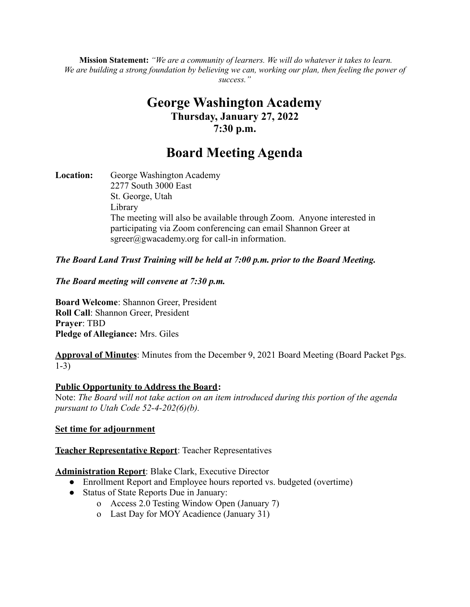**Mission Statement:** *"We are a community of learners. We will do whatever it takes to learn.* We are building a strong foundation by believing we can, working our plan, then feeling the power of *success."*

# **George Washington Academy Thursday, January 27, 2022 7:30 p.m.**

# **Board Meeting Agenda**

**Location:** George Washington Academy 2277 South 3000 East St. George, Utah Library The meeting will also be available through Zoom. Anyone interested in participating via Zoom conferencing can email Shannon Greer at  $sgreen(\hat{a})$ gwacademy.org for call-in information.

# *The Board Land Trust Training will be held at 7:00 p.m. prior to the Board Meeting.*

#### *The Board meeting will convene at 7:30 p.m.*

**Board Welcome**: Shannon Greer, President **Roll Call**: Shannon Greer, President **Prayer**: TBD **Pledge of Allegiance:** Mrs. Giles

**Approval of Minutes**: Minutes from the December 9, 2021 Board Meeting (Board Packet Pgs. 1-3)

#### **Public Opportunity to Address the Board:**

Note: *The Board will not take action on an item introduced during this portion of the agenda pursuant to Utah Code 52-4-202(6)(b).*

#### **Set time for adjournment**

#### **Teacher Representative Report**: Teacher Representatives

#### **Administration Report**: Blake Clark, Executive Director

- Enrollment Report and Employee hours reported vs. budgeted (overtime)
- Status of State Reports Due in January:
	- o Access 2.0 Testing Window Open (January 7)
	- o Last Day for MOY Acadience (January 31)